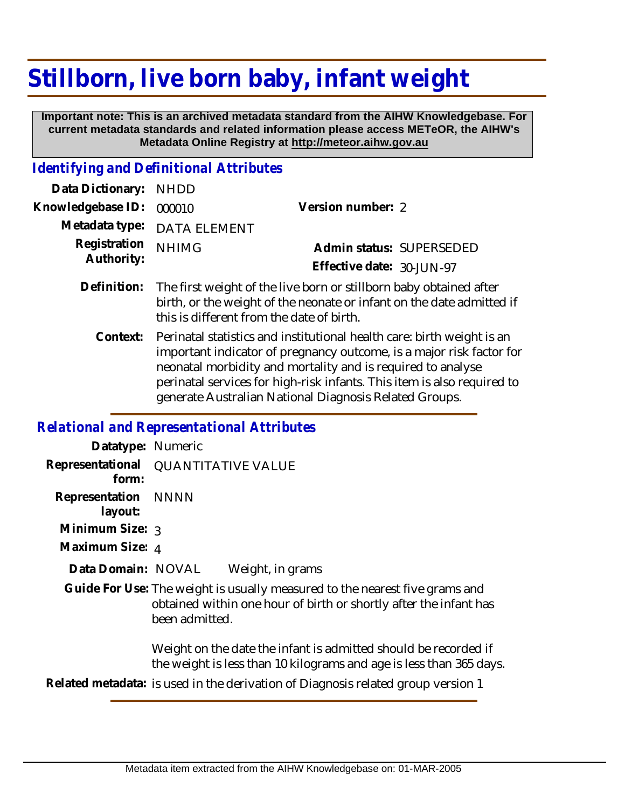# **Stillborn, live born baby, infant weight**

 **Important note: This is an archived metadata standard from the AIHW Knowledgebase. For current metadata standards and related information please access METeOR, the AIHW's Metadata Online Registry at http://meteor.aihw.gov.au**

#### *Identifying and Definitional Attributes*

| Data Dictionary: NHDD    |                             |                              |  |
|--------------------------|-----------------------------|------------------------------|--|
| Knowledgebase ID: 000010 |                             | Version number: 2            |  |
|                          | Metadata type: DATA ELEMENT |                              |  |
| Registration NHIMG       |                             | Admin status: SUPERSEDED     |  |
| Authority:               |                             | Effective date: $30$ -JUN-97 |  |
|                          |                             |                              |  |

- Definition: The first weight of the live born or stillborn baby obtained after birth, or the weight of the neonate or infant on the date admitted if this is different from the date of birth.
	- Perinatal statistics and institutional health care: birth weight is an important indicator of pregnancy outcome, is a major risk factor for neonatal morbidity and mortality and is required to analyse perinatal services for high-risk infants. This item is also required to generate Australian National Diagnosis Related Groups. **Context:**

#### *Relational and Representational Attributes*

| Datatype: Numeric              |                                                                                                                                                                    |
|--------------------------------|--------------------------------------------------------------------------------------------------------------------------------------------------------------------|
| form:                          | Representational QUANTITATIVE VALUE                                                                                                                                |
| Representation NNNN<br>layout: |                                                                                                                                                                    |
| Minimum Size: 3                |                                                                                                                                                                    |
| Maximum Size: 4                |                                                                                                                                                                    |
| Data Domain: NOVAL             | Weight, in grams                                                                                                                                                   |
|                                | Guide For Use: The weight is usually measured to the nearest five grams and<br>obtained within one hour of birth or shortly after the infant has<br>been admitted. |
|                                | Weight on the date the infant is admitted should be recorded if<br>the weight is less than 10 kilograms and age is less than 365 days.                             |
|                                | Related metadata: is used in the derivation of Diagnosis related group version 1                                                                                   |